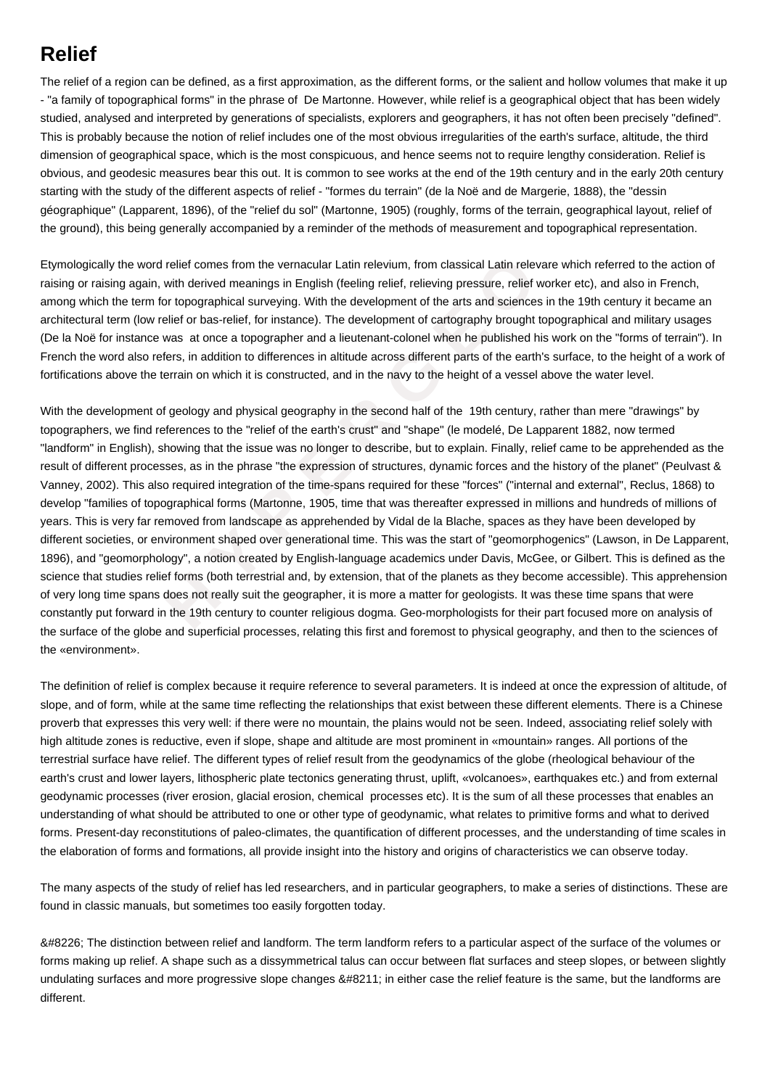## **Relief**

The relief of a region can be defined, as a first approximation, as the different forms, or the salient and hollow volumes that make it up - "a family of topographical forms" in the phrase of De Martonne. However, while relief is a geographical object that has been widely studied, analysed and interpreted by generations of specialists, explorers and geographers, it has not often been precisely "defined". This is probably because the notion of relief includes one of the most obvious irregularities of the earth's surface, altitude, the third dimension of geographical space, which is the most conspicuous, and hence seems not to require lengthy consideration. Relief is obvious, and geodesic measures bear this out. It is common to see works at the end of the 19th century and in the early 20th century starting with the study of the different aspects of relief - "formes du terrain" (de la Noë and de Margerie, 1888), the "dessin géographique" (Lapparent, 1896), of the "relief du sol" (Martonne, 1905) (roughly, forms of the terrain, geographical layout, relief of the ground), this being generally accompanied by a reminder of the methods of measurement and topographical representation.

Etymologically the word relief comes from the vernacular Latin relevium, from classical Latin relevare which referred to the action of raising or raising again, with derived meanings in English (feeling relief, relieving pressure, relief worker etc), and also in French, among which the term for topographical surveying. With the development of the arts and sciences in the 19th century it became an architectural term (low relief or bas-relief, for instance). The development of cartography brought topographical and military usages (De la Noë for instance was at once a topographer and a lieutenant-colonel when he published his work on the "forms of terrain"). In French the word also refers, in addition to differences in altitude across different parts of the earth's surface, to the height of a work of fortifications above the terrain on which it is constructed, and in the navy to the height of a vessel above the water level.

e word relief comes from the vernacular Latin relevium, from classical Latin relevare<br>again, with derived meanings in English (feeling relief, relieving pressure, relief word<br>term for topographical surveying. With the deve With the development of geology and physical geography in the second half of the 19th century, rather than mere "drawings" by topographers, we find references to the "relief of the earth's crust" and "shape" (le modelé, De Lapparent 1882, now termed "landform" in English), showing that the issue was no longer to describe, but to explain. Finally, relief came to be apprehended as the result of different processes, as in the phrase "the expression of structures, dynamic forces and the history of the planet" (Peulvast & Vanney, 2002). This also required integration of the time-spans required for these "forces" ("internal and external", Reclus, 1868) to develop "families of topographical forms (Martonne, 1905, time that was thereafter expressed in millions and hundreds of millions of years. This is very far removed from landscape as apprehended by Vidal de la Blache, spaces as they have been developed by different societies, or environment shaped over generational time. This was the start of "geomorphogenics" (Lawson, in De Lapparent, 1896), and "geomorphology", a notion created by English-language academics under Davis, McGee, or Gilbert. This is defined as the science that studies relief forms (both terrestrial and, by extension, that of the planets as they become accessible). This apprehension of very long time spans does not really suit the geographer, it is more a matter for geologists. It was these time spans that were constantly put forward in the 19th century to counter religious dogma. Geo-morphologists for their part focused more on analysis of the surface of the globe and superficial processes, relating this first and foremost to physical geography, and then to the sciences of the «environment» .

The definition of relief is complex because it require reference to several parameters. It is indeed at once the expression of altitude, of slope, and of form, while at the same time reflecting the relationships that exist between these different elements. There is a Chinese proverb that expresses this very well: if there were no mountain, the plains would not be seen. Indeed, associating relief solely with high altitude zones is reductive, even if slope, shape and altitude are most prominent in «mountain» ranges. All portions of the terrestrial surface have relief. The different types of relief result from the geodynamics of the globe (rheological behaviour of the earth's crust and lower layers, lithospheric plate tectonics generating thrust, uplift, «volcanoes», earthquakes etc.) and from external geodynamic processes (river erosion, glacial erosion, chemical processes etc). It is the sum of all these processes that enables an understanding of what should be attributed to one or other type of geodynamic, what relates to primitive forms and what to derived forms. Present-day reconstitutions of paleo-climates, the quantification of different processes, and the understanding of time scales in the elaboration of forms and formations, all provide insight into the history and origins of characteristics we can observe today.

The many aspects of the study of relief has led researchers, and in particular geographers, to make a series of distinctions. These are found in classic manuals, but sometimes too easily forgotten today.

• The distinction between relief and landform. The term landform refers to a particular aspect of the surface of the volumes or forms making up relief. A shape such as a dissymmetrical talus can occur between flat surfaces and steep slopes, or between slightly undulating surfaces and more progressive slope changes – in either case the relief feature is the same, but the landforms are different.